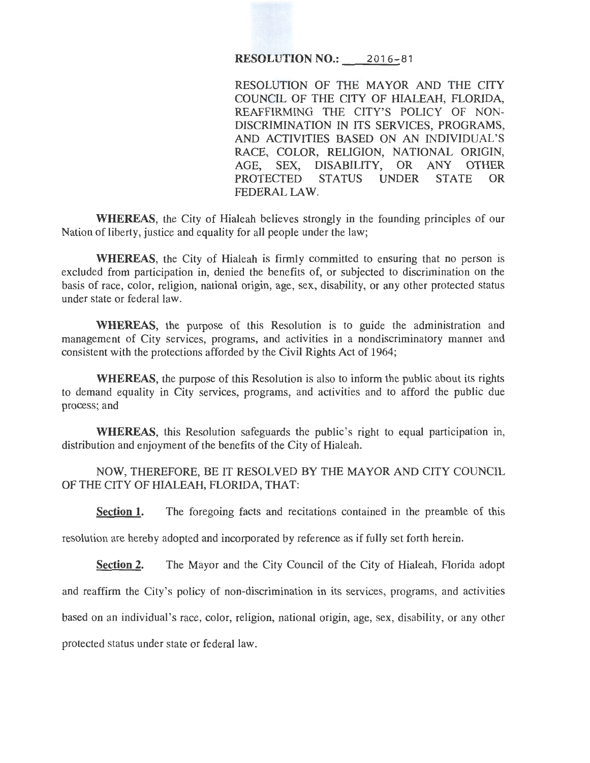## **RESOLUTION NO.:** 2016-81

RESOLUTION OF THE MAYOR AND THE CITY COUNCIL OF THE CITY OF HIALEAH, FLORIDA, REAFFIRMING THE CITY'S POLICY OF NON-DISCRIMINATION IN ITS SERVICES, PROGRAMS, AND ACTIVITIES BASED ON AN INDIVIDUAL'S RACE, COLOR, RELIGION, NATIONAL ORIGIN, AGE, SEX, DISABILITY, OR ANY OTHER PROTECTED STATUS UNDER STATE OR FEDERAL LAW.

**WHEREAS,** the City of Hialeah believes strongly in the founding principles of our Nation of liberty, justice and equality for all people under the law;

**WHEREAS,** the City of Hialeah is firmly committed to ensuring that no person is excluded from participation in, denied the benefits of, or subjected to discrimination on the basis of race, color, religion, national origin, age, sex, disability, or any other protected status under state or federal law.

**WHEREAS,** the purpose of this Resolution is to guide the administration and management of City services, programs, and activities in a nondiscriminatory manner and consistent with the protections afforded by the Civil Rights Act of 1964;

**WHEREAS,** the purpose of this Resolution is also to inform the public about its rights to demand equality in City services, programs, and activities and to afford the public due process; and

**WHEREAS,** this Resolution safeguards the public's right to equal participation in, distribution and enjoyment of the benefits of the City of Hialeah.

NOW, THEREFORE, BE IT RESOLVED BY THE MAYOR AND CITY COUNCIL OF THE CITY OF HIALEAH, FLORIDA, THAT:

**Section 1.** The foregoing facts and recitations contained in the preamble of this

resolution are hereby adopted and incorporated by reference as if fully set forth herein.

**Section 2.** The Mayor and the City Council of the City of Hialeah, Florida adopt

and reaffirm the City's policy of non-discrimination in its services, programs, and activities

based on an individual's race, color, religion, national origin, age, sex, disability, or any other

protected status under state or federal law.